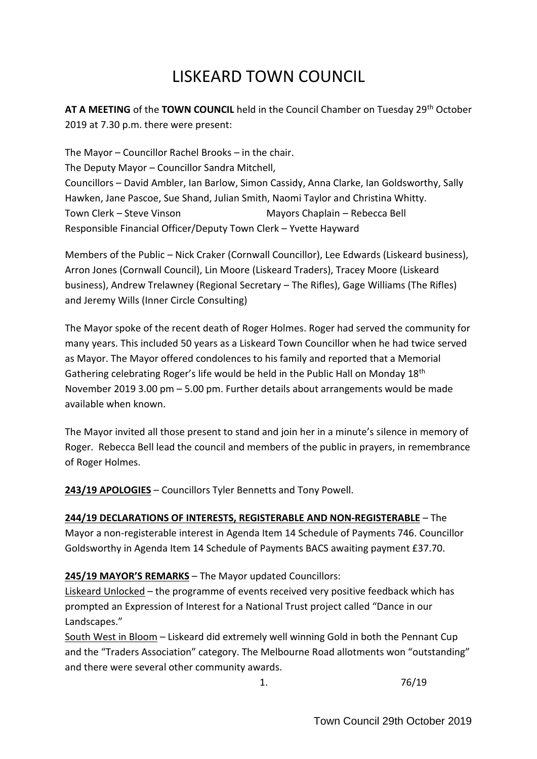# LISKEARD TOWN COUNCIL

**AT A MEETING** of the **TOWN COUNCIL** held in the Council Chamber on Tuesday 29th October 2019 at 7.30 p.m. there were present:

The Mayor – Councillor Rachel Brooks – in the chair. The Deputy Mayor – Councillor Sandra Mitchell, Councillors – David Ambler, Ian Barlow, Simon Cassidy, Anna Clarke, Ian Goldsworthy, Sally Hawken, Jane Pascoe, Sue Shand, Julian Smith, Naomi Taylor and Christina Whitty. Town Clerk – Steve Vinson Mayors Chaplain – Rebecca Bell Responsible Financial Officer/Deputy Town Clerk – Yvette Hayward

Members of the Public – Nick Craker (Cornwall Councillor), Lee Edwards (Liskeard business), Arron Jones (Cornwall Council), Lin Moore (Liskeard Traders), Tracey Moore (Liskeard business), Andrew Trelawney (Regional Secretary – The Rifles), Gage Williams (The Rifles) and Jeremy Wills (Inner Circle Consulting)

The Mayor spoke of the recent death of Roger Holmes. Roger had served the community for many years. This included 50 years as a Liskeard Town Councillor when he had twice served as Mayor. The Mayor offered condolences to his family and reported that a Memorial Gathering celebrating Roger's life would be held in the Public Hall on Monday 18th November 2019 3.00 pm – 5.00 pm. Further details about arrangements would be made available when known.

The Mayor invited all those present to stand and join her in a minute's silence in memory of Roger. Rebecca Bell lead the council and members of the public in prayers, in remembrance of Roger Holmes.

**243/19 APOLOGIES** – Councillors Tyler Bennetts and Tony Powell.

### **244/19 DECLARATIONS OF INTERESTS, REGISTERABLE AND NON-REGISTERABLE** – The Mayor a non-registerable interest in Agenda Item 14 Schedule of Payments 746. Councillor Goldsworthy in Agenda Item 14 Schedule of Payments BACS awaiting payment £37.70.

# **245/19 MAYOR'S REMARKS** – The Mayor updated Councillors:

Liskeard Unlocked – the programme of events received very positive feedback which has prompted an Expression of Interest for a National Trust project called "Dance in our Landscapes."

South West in Bloom – Liskeard did extremely well winning Gold in both the Pennant Cup and the "Traders Association" category. The Melbourne Road allotments won "outstanding" and there were several other community awards.

1. 76/19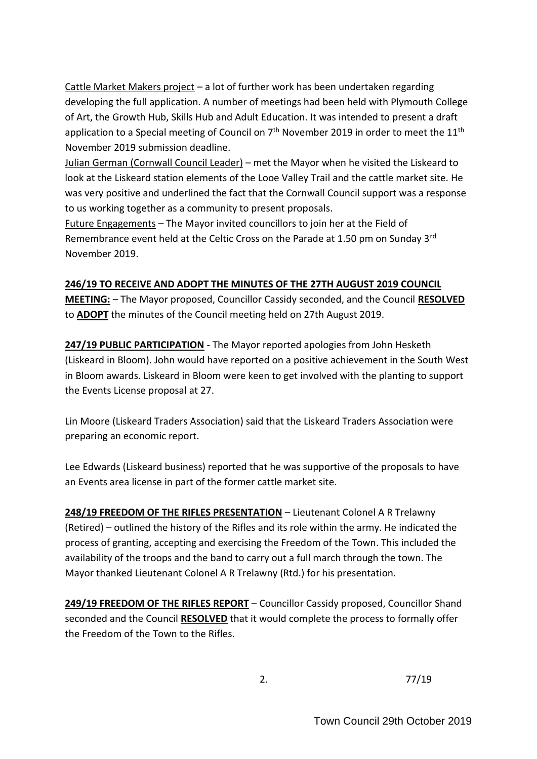Cattle Market Makers project – a lot of further work has been undertaken regarding developing the full application. A number of meetings had been held with Plymouth College of Art, the Growth Hub, Skills Hub and Adult Education. It was intended to present a draft application to a Special meeting of Council on  $7<sup>th</sup>$  November 2019 in order to meet the 11<sup>th</sup> November 2019 submission deadline.

Julian German (Cornwall Council Leader) – met the Mayor when he visited the Liskeard to look at the Liskeard station elements of the Looe Valley Trail and the cattle market site. He was very positive and underlined the fact that the Cornwall Council support was a response to us working together as a community to present proposals.

Future Engagements – The Mayor invited councillors to join her at the Field of Remembrance event held at the Celtic Cross on the Parade at 1.50 pm on Sunday 3<sup>rd</sup> November 2019.

# **246/19 TO RECEIVE AND ADOPT THE MINUTES OF THE 27TH AUGUST 2019 COUNCIL**

**MEETING:** – The Mayor proposed, Councillor Cassidy seconded, and the Council **RESOLVED** to **ADOPT** the minutes of the Council meeting held on 27th August 2019.

**247/19 PUBLIC PARTICIPATION** - The Mayor reported apologies from John Hesketh (Liskeard in Bloom). John would have reported on a positive achievement in the South West in Bloom awards. Liskeard in Bloom were keen to get involved with the planting to support the Events License proposal at 27.

Lin Moore (Liskeard Traders Association) said that the Liskeard Traders Association were preparing an economic report.

Lee Edwards (Liskeard business) reported that he was supportive of the proposals to have an Events area license in part of the former cattle market site.

**248/19 FREEDOM OF THE RIFLES PRESENTATION** – Lieutenant Colonel A R Trelawny (Retired) – outlined the history of the Rifles and its role within the army. He indicated the process of granting, accepting and exercising the Freedom of the Town. This included the availability of the troops and the band to carry out a full march through the town. The Mayor thanked Lieutenant Colonel A R Trelawny (Rtd.) for his presentation.

**249/19 FREEDOM OF THE RIFLES REPORT** – Councillor Cassidy proposed, Councillor Shand seconded and the Council **RESOLVED** that it would complete the process to formally offer the Freedom of the Town to the Rifles.

2. 77/19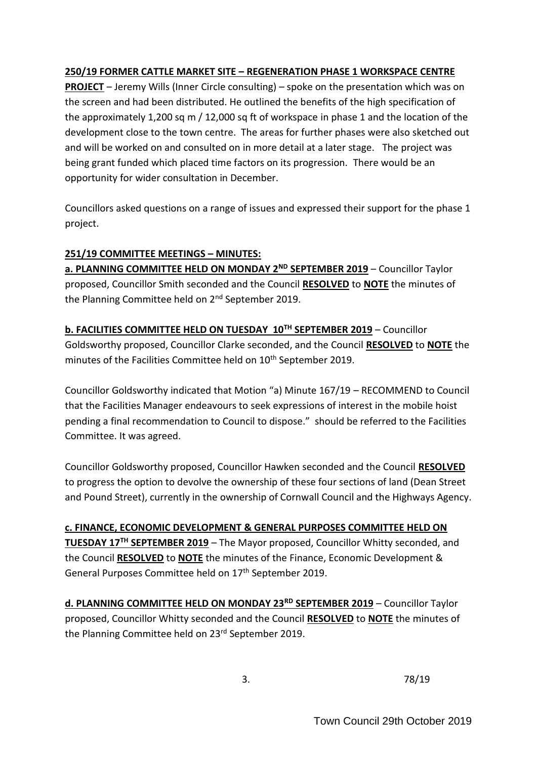# **250/19 FORMER CATTLE MARKET SITE – REGENERATION PHASE 1 WORKSPACE CENTRE**

**PROJECT** – Jeremy Wills (Inner Circle consulting) – spoke on the presentation which was on the screen and had been distributed. He outlined the benefits of the high specification of the approximately 1,200 sq m / 12,000 sq ft of workspace in phase 1 and the location of the development close to the town centre. The areas for further phases were also sketched out and will be worked on and consulted on in more detail at a later stage. The project was being grant funded which placed time factors on its progression. There would be an opportunity for wider consultation in December.

Councillors asked questions on a range of issues and expressed their support for the phase 1 project.

### **251/19 COMMITTEE MEETINGS – MINUTES:**

**a. PLANNING COMMITTEE HELD ON MONDAY 2ND SEPTEMBER 2019** – Councillor Taylor proposed, Councillor Smith seconded and the Council **RESOLVED** to **NOTE** the minutes of the Planning Committee held on 2<sup>nd</sup> September 2019.

**b. FACILITIES COMMITTEE HELD ON TUESDAY 10TH SEPTEMBER 2019** – Councillor Goldsworthy proposed, Councillor Clarke seconded, and the Council **RESOLVED** to **NOTE** the minutes of the Facilities Committee held on 10<sup>th</sup> September 2019.

Councillor Goldsworthy indicated that Motion "a) Minute 167/19 – RECOMMEND to Council that the Facilities Manager endeavours to seek expressions of interest in the mobile hoist pending a final recommendation to Council to dispose." should be referred to the Facilities Committee. It was agreed.

Councillor Goldsworthy proposed, Councillor Hawken seconded and the Council **RESOLVED** to progress the option to devolve the ownership of these four sections of land (Dean Street and Pound Street), currently in the ownership of Cornwall Council and the Highways Agency.

**c. FINANCE, ECONOMIC DEVELOPMENT & GENERAL PURPOSES COMMITTEE HELD ON TUESDAY 17TH SEPTEMBER 2019** – The Mayor proposed, Councillor Whitty seconded, and the Council **RESOLVED** to **NOTE** the minutes of the Finance, Economic Development & General Purposes Committee held on 17<sup>th</sup> September 2019.

**d. PLANNING COMMITTEE HELD ON MONDAY 23RD SEPTEMBER 2019** – Councillor Taylor proposed, Councillor Whitty seconded and the Council **RESOLVED** to **NOTE** the minutes of the Planning Committee held on 23rd September 2019.

3. 78/19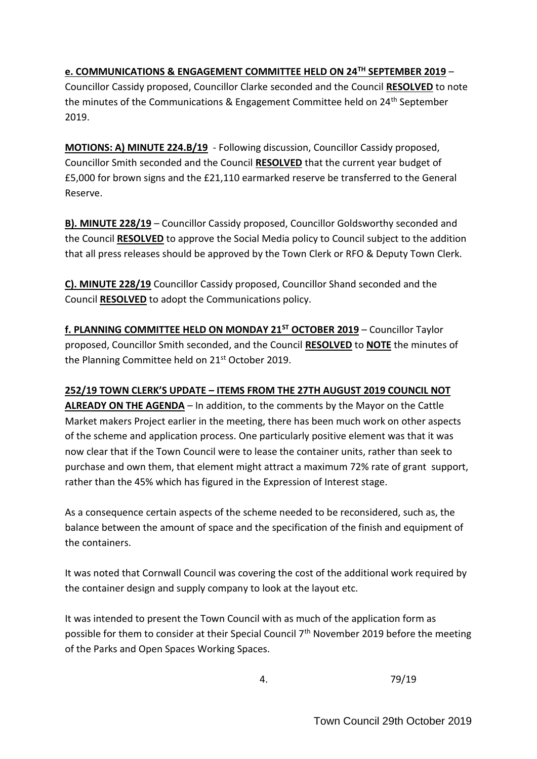**e. COMMUNICATIONS & ENGAGEMENT COMMITTEE HELD ON 24TH SEPTEMBER 2019** –

Councillor Cassidy proposed, Councillor Clarke seconded and the Council **RESOLVED** to note the minutes of the Communications & Engagement Committee held on 24th September 2019.

**MOTIONS: A) MINUTE 224.B/19** - Following discussion, Councillor Cassidy proposed, Councillor Smith seconded and the Council **RESOLVED** that the current year budget of £5,000 for brown signs and the £21,110 earmarked reserve be transferred to the General Reserve.

**B). MINUTE 228/19** – Councillor Cassidy proposed, Councillor Goldsworthy seconded and the Council **RESOLVED** to approve the Social Media policy to Council subject to the addition that all press releases should be approved by the Town Clerk or RFO & Deputy Town Clerk.

**C). MINUTE 228/19** Councillor Cassidy proposed, Councillor Shand seconded and the Council **RESOLVED** to adopt the Communications policy.

**f. PLANNING COMMITTEE HELD ON MONDAY 21ST OCTOBER 2019** – Councillor Taylor proposed, Councillor Smith seconded, and the Council **RESOLVED** to **NOTE** the minutes of the Planning Committee held on 21st October 2019.

# **252/19 TOWN CLERK'S UPDATE – ITEMS FROM THE 27TH AUGUST 2019 COUNCIL NOT**

**ALREADY ON THE AGENDA** – In addition, to the comments by the Mayor on the Cattle Market makers Project earlier in the meeting, there has been much work on other aspects of the scheme and application process. One particularly positive element was that it was now clear that if the Town Council were to lease the container units, rather than seek to purchase and own them, that element might attract a maximum 72% rate of grant support, rather than the 45% which has figured in the Expression of Interest stage.

As a consequence certain aspects of the scheme needed to be reconsidered, such as, the balance between the amount of space and the specification of the finish and equipment of the containers.

It was noted that Cornwall Council was covering the cost of the additional work required by the container design and supply company to look at the layout etc.

It was intended to present the Town Council with as much of the application form as possible for them to consider at their Special Council 7<sup>th</sup> November 2019 before the meeting of the Parks and Open Spaces Working Spaces.

4. 79/19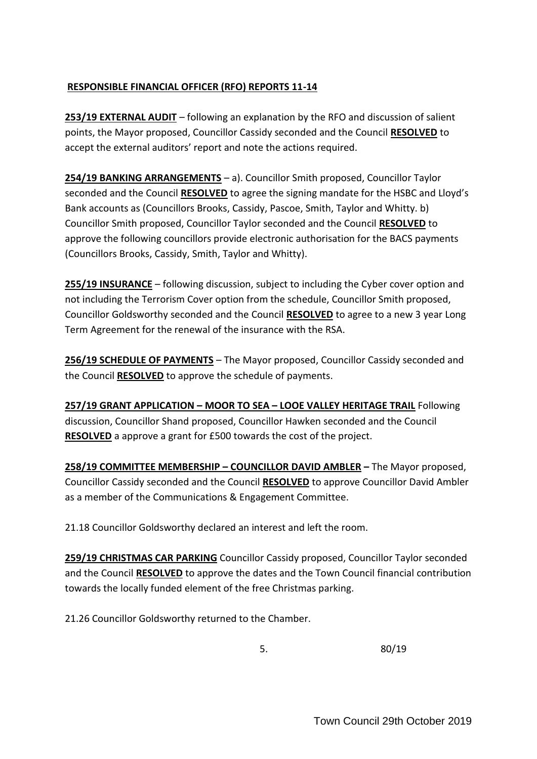### **RESPONSIBLE FINANCIAL OFFICER (RFO) REPORTS 11-14**

**253/19 EXTERNAL AUDIT** – following an explanation by the RFO and discussion of salient points, the Mayor proposed, Councillor Cassidy seconded and the Council **RESOLVED** to accept the external auditors' report and note the actions required.

**254/19 BANKING ARRANGEMENTS** – a). Councillor Smith proposed, Councillor Taylor seconded and the Council **RESOLVED** to agree the signing mandate for the HSBC and Lloyd's Bank accounts as (Councillors Brooks, Cassidy, Pascoe, Smith, Taylor and Whitty. b) Councillor Smith proposed, Councillor Taylor seconded and the Council **RESOLVED** to approve the following councillors provide electronic authorisation for the BACS payments (Councillors Brooks, Cassidy, Smith, Taylor and Whitty).

**255/19 INSURANCE** – following discussion, subject to including the Cyber cover option and not including the Terrorism Cover option from the schedule, Councillor Smith proposed, Councillor Goldsworthy seconded and the Council **RESOLVED** to agree to a new 3 year Long Term Agreement for the renewal of the insurance with the RSA.

**256/19 SCHEDULE OF PAYMENTS** – The Mayor proposed, Councillor Cassidy seconded and the Council **RESOLVED** to approve the schedule of payments.

**257/19 GRANT APPLICATION – MOOR TO SEA – LOOE VALLEY HERITAGE TRAIL** Following discussion, Councillor Shand proposed, Councillor Hawken seconded and the Council **RESOLVED** a approve a grant for £500 towards the cost of the project.

**258/19 COMMITTEE MEMBERSHIP – COUNCILLOR DAVID AMBLER –** The Mayor proposed, Councillor Cassidy seconded and the Council **RESOLVED** to approve Councillor David Ambler as a member of the Communications & Engagement Committee.

21.18 Councillor Goldsworthy declared an interest and left the room.

**259/19 CHRISTMAS CAR PARKING** Councillor Cassidy proposed, Councillor Taylor seconded and the Council **RESOLVED** to approve the dates and the Town Council financial contribution towards the locally funded element of the free Christmas parking.

21.26 Councillor Goldsworthy returned to the Chamber.

5. 80/19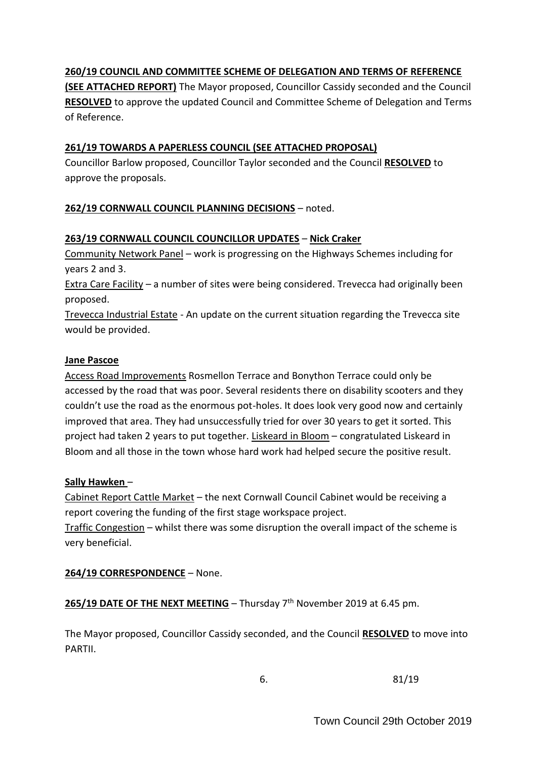# **260/19 COUNCIL AND COMMITTEE SCHEME OF DELEGATION AND TERMS OF REFERENCE**

**(SEE ATTACHED REPORT)** The Mayor proposed, Councillor Cassidy seconded and the Council **RESOLVED** to approve the updated Council and Committee Scheme of Delegation and Terms of Reference.

#### **261/19 TOWARDS A PAPERLESS COUNCIL (SEE ATTACHED PROPOSAL)**

Councillor Barlow proposed, Councillor Taylor seconded and the Council **RESOLVED** to approve the proposals.

### **262/19 CORNWALL COUNCIL PLANNING DECISIONS** – noted.

#### **263/19 CORNWALL COUNCIL COUNCILLOR UPDATES** – **Nick Craker**

Community Network Panel – work is progressing on the Highways Schemes including for years 2 and 3.

Extra Care Facility – a number of sites were being considered. Trevecca had originally been proposed.

Trevecca Industrial Estate - An update on the current situation regarding the Trevecca site would be provided.

#### **Jane Pascoe**

Access Road Improvements Rosmellon Terrace and Bonython Terrace could only be accessed by the road that was poor. Several residents there on disability scooters and they couldn't use the road as the enormous pot-holes. It does look very good now and certainly improved that area. They had unsuccessfully tried for over 30 years to get it sorted. This project had taken 2 years to put together. Liskeard in Bloom – congratulated Liskeard in Bloom and all those in the town whose hard work had helped secure the positive result.

#### **Sally Hawken** –

Cabinet Report Cattle Market – the next Cornwall Council Cabinet would be receiving a report covering the funding of the first stage workspace project.

Traffic Congestion – whilst there was some disruption the overall impact of the scheme is very beneficial.

#### **264/19 CORRESPONDENCE** – None.

**265/19 DATE OF THE NEXT MEETING** – Thursday 7<sup>th</sup> November 2019 at 6.45 pm.

The Mayor proposed, Councillor Cassidy seconded, and the Council **RESOLVED** to move into PARTII.

6. 81/19